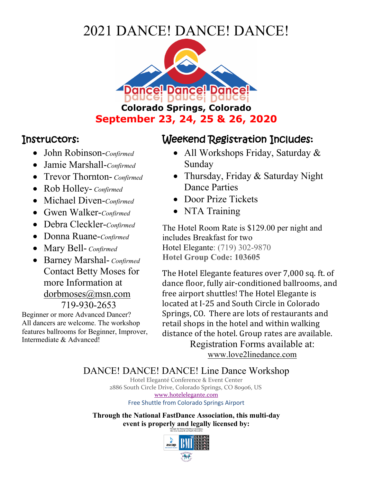## 2021 DANCE! DANCE! DANCE!



## Instructors:

- John Robinson-*Confirmed*
- Jamie Marshall-*Confirmed*
- Trevor Thornton- *Confirmed*
- Rob Holley- *Confirmed*
- Michael Diven-*Confirmed*
- Gwen Walker-*Confirmed*
- Debra Cleckler-*Confirmed*
- Donna Ruane-*Confirmed*
- Mary Bell- *Confirmed*
- Barney Marshal- *Confirmed* Contact Betty Moses for more Information at dorbmoses@msn.com 719-930-2653

Beginner or more Advanced Dancer? All dancers are welcome. The workshop features ballrooms for Beginner, Improver, Intermediate & Advanced!

## Weekend Registration Includes:

- All Workshops Friday, Saturday & Sunday
- Thursday, Friday & Saturday Night Dance Parties
- Door Prize Tickets
- NTA Training

The Hotel Room Rate is \$129.00 per night and includes Breakfast for two Hotel Elegante: (719) 302-9870 **Hotel Group Code: 103605**

The Hotel Elegante features over 7,000 sq. ft. of dance floor, fully air-conditioned ballrooms, and free airport shuttles! The Hotel Elegante is located at I-25 and South Circle in Colorado Springs, CO. There are lots of restaurants and retail shops in the hotel and within walking distance of the hotel. Group rates are available. Registration Forms available at:

www.love2linedance.com

DANCE! DANCE! DANCE! Line Dance Workshop

Hotel Eleganté Conference & Event Center 2886 South Circle Drive, Colorado Springs, CO 80906, US www.hotelelegante.com Free Shuttle from Colorado Springs Airport

**Through the National FastDance Association, this multi-day event is properly and legally licensed by:**